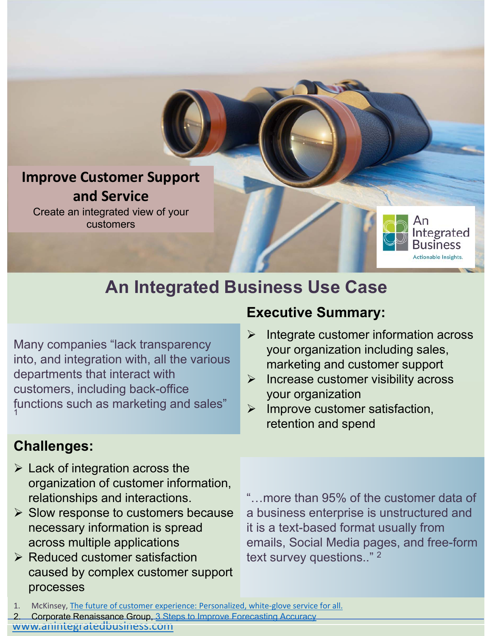### **Improve Customer Support and Service**

Create an integrated view of your customers

# **An Integrated Business Use Case**

Many companies "lack transparency into, and integration with, all the various departments that interact with customers, including back-office functions such as marketing and sales" 1

### **Challenges:**

- $\triangleright$  Lack of integration across the organization of customer information, relationships and interactions.
- $\triangleright$  Slow response to customers because necessary information is spread across multiple applications
- $\triangleright$  Reduced customer satisfaction caused by complex customer support processes

### **Executive Summary:**

 $\triangleright$  Integrate customer information across your organization including sales, marketing and customer support

ntegrated usiness Actionable Insights.

- $\triangleright$  Increase customer visibility across your organization
- $\triangleright$  Improve customer satisfaction, retention and spend

"…more than 95% of the customer data of a business enterprise is unstructured and it is a text-based format usually from emails, Social Media pages, and free-form text survey questions.." 2

- 1. McKinsey, The future of customer experience: Personalized, white-glove service for all.
- 2. Corporate Renaissance Group, 3 Steps to Improve Forecasting Accuracy

www.anintegratedbusiness.com